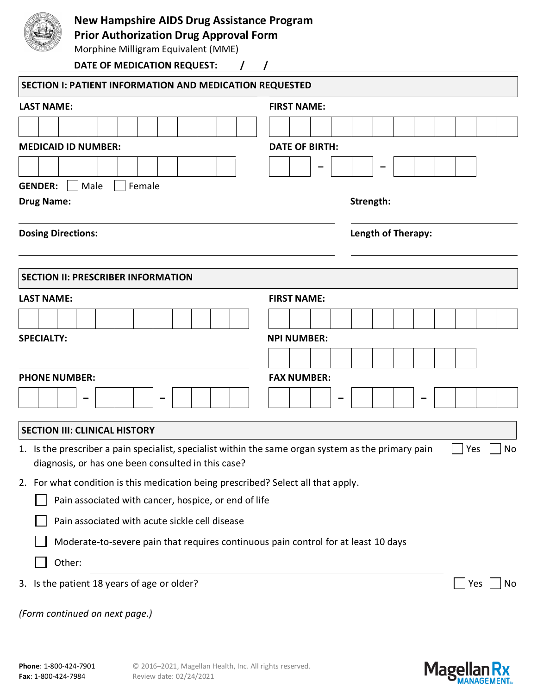

## **New Hampshire AIDS Drug Assistance Program**

**Prior Authorization Drug Approval Form**

Morphine Milligram Equivalent (MME)

| DATE OF MEDICATION REQUEST:                                                                                                                               |                       |           |  |     |    |  |  |  |
|-----------------------------------------------------------------------------------------------------------------------------------------------------------|-----------------------|-----------|--|-----|----|--|--|--|
| <b>SECTION I: PATIENT INFORMATION AND MEDICATION REQUESTED</b>                                                                                            |                       |           |  |     |    |  |  |  |
| <b>LAST NAME:</b>                                                                                                                                         | <b>FIRST NAME:</b>    |           |  |     |    |  |  |  |
|                                                                                                                                                           |                       |           |  |     |    |  |  |  |
| <b>MEDICAID ID NUMBER:</b>                                                                                                                                | <b>DATE OF BIRTH:</b> |           |  |     |    |  |  |  |
| <b>GENDER:</b><br>Male<br>Female                                                                                                                          |                       |           |  |     |    |  |  |  |
| <b>Drug Name:</b>                                                                                                                                         |                       | Strength: |  |     |    |  |  |  |
| <b>Dosing Directions:</b>                                                                                                                                 | Length of Therapy:    |           |  |     |    |  |  |  |
| <b>SECTION II: PRESCRIBER INFORMATION</b>                                                                                                                 |                       |           |  |     |    |  |  |  |
| <b>LAST NAME:</b>                                                                                                                                         | <b>FIRST NAME:</b>    |           |  |     |    |  |  |  |
|                                                                                                                                                           |                       |           |  |     |    |  |  |  |
| <b>SPECIALTY:</b>                                                                                                                                         | <b>NPI NUMBER:</b>    |           |  |     |    |  |  |  |
|                                                                                                                                                           |                       |           |  |     |    |  |  |  |
| <b>PHONE NUMBER:</b>                                                                                                                                      | <b>FAX NUMBER:</b>    |           |  |     |    |  |  |  |
|                                                                                                                                                           |                       |           |  |     |    |  |  |  |
| <b>SECTION III: CLINICAL HISTORY</b>                                                                                                                      |                       |           |  |     |    |  |  |  |
| 1. Is the prescriber a pain specialist, specialist within the same organ system as the primary pain<br>diagnosis, or has one been consulted in this case? |                       |           |  | Yes | No |  |  |  |
| 2. For what condition is this medication being prescribed? Select all that apply.                                                                         |                       |           |  |     |    |  |  |  |
| Pain associated with cancer, hospice, or end of life                                                                                                      |                       |           |  |     |    |  |  |  |
| Pain associated with acute sickle cell disease                                                                                                            |                       |           |  |     |    |  |  |  |
| Moderate-to-severe pain that requires continuous pain control for at least 10 days                                                                        |                       |           |  |     |    |  |  |  |
| Other:                                                                                                                                                    |                       |           |  |     |    |  |  |  |
| 3. Is the patient 18 years of age or older?                                                                                                               |                       |           |  | Yes | No |  |  |  |
| (Form continued on next page.)                                                                                                                            |                       |           |  |     |    |  |  |  |